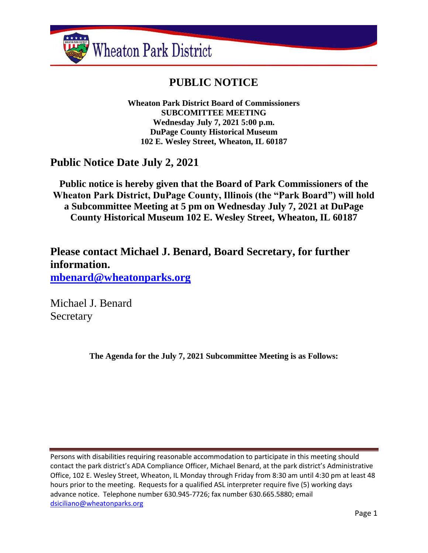

# **PUBLIC NOTICE**

**Wheaton Park District Board of Commissioners SUBCOMITTEE MEETING Wednesday July 7, 2021 5:00 p.m. DuPage County Historical Museum 102 E. Wesley Street, Wheaton, IL 60187**

# **Public Notice Date July 2, 2021**

**Public notice is hereby given that the Board of Park Commissioners of the Wheaton Park District, DuPage County, Illinois (the "Park Board") will hold a Subcommittee Meeting at 5 pm on Wednesday July 7, 2021 at DuPage County Historical Museum 102 E. Wesley Street, Wheaton, IL 60187**

**Please contact Michael J. Benard, Board Secretary, for further information. [mbenard@wheatonparks.org](mailto:mbenard@wheatonparks.org)**

Michael J. Benard Secretary

**The Agenda for the July 7, 2021 Subcommittee Meeting is as Follows:**

Persons with disabilities requiring reasonable accommodation to participate in this meeting should contact the park district's ADA Compliance Officer, Michael Benard, at the park district's Administrative Office, 102 E. Wesley Street, Wheaton, IL Monday through Friday from 8:30 am until 4:30 pm at least 48 hours prior to the meeting. Requests for a qualified ASL interpreter require five (5) working days advance notice. Telephone number 630.945-7726; fax number 630.665.5880; email [dsiciliano@wheatonparks.org](mailto:dsiciliano@wheatonparks.org)